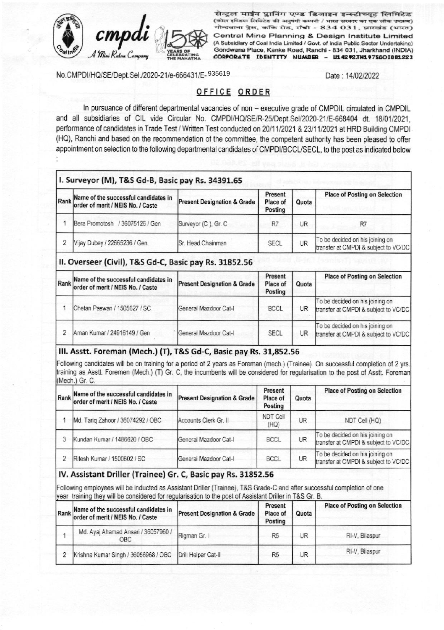

सेन्ट्रल माईन प्लानिंग एण्ड डिजाइन इन्स्टीच्यूट लिमिटेड (कोल इण्डिया लिमिटेड की अनुषंगी कम्पनी / भारत सरकार का एक लोक उपक्रम) गोन्दवाना प्रेस, कॉके रोड, राँची - 834 031, झारखंड (भारत) Central Mine Planning & Design Institute Limited (A Subsidiary of Coal India Limited / Govt. of India Public Sector Undertaking) Gondwana Place, Kanke Road, Ranchi - 834 031, Jharkhand (INDIA) CORPORATE IDENTITY NUMBER - U14292.TH1975GOI001223

No.CMPDI/HQ/SE/Dept.Sel./2020-21/e-666431/E-935619

Date: 14/02/2022

# OFFICE ORDER

In pursuance of different departmental vacancies of non - executive grade of CMPDIL circulated in CMPDIL and all subsidiaries of CIL vide Circular No. CMPDI/HQ/SE/R-25/Dept.Sel/2020-21/E-668404 dt. 18/01/2021, performance of candidates in Trade Test / Written Test conducted on 20/11/2021 & 23/11/2021 at HRD Building CMPDI (HQ), Ranchi and based on the recommendation of the committee, the competent authority has been pleased to offer appointment on selection to the following departmental candidates of CMPDI/BCCL/SECL, to the post as indicated below

|                | I. Surveyor (M), T&S Gd-B, Basic pay Rs. 34391.65                              |                                        |                                |       |                                                                         |
|----------------|--------------------------------------------------------------------------------|----------------------------------------|--------------------------------|-------|-------------------------------------------------------------------------|
|                | Rank Name of the successful candidates in<br>order of merit / NEIS No. / Caste | <b>Present Designation &amp; Grade</b> | Present<br>Place of<br>Posting | Quota | <b>Place of Posting on Selection</b>                                    |
|                | Bera Promotosh / 36075126 / Gen                                                | Surveyor (C), Gr. C                    | R7                             | UR    | R7                                                                      |
| $\overline{2}$ | Vijay Dubey / 22665236 / Gen                                                   | Sr. Head Chainman                      | <b>SECL</b>                    | UR    | To be decided on his joining on<br>transfer at CMPDI & subject to VC/DC |
|                | II. Overseer (Civil), T&S Gd-C, Basic pay Rs. 31852.56                         |                                        |                                |       |                                                                         |
|                | Rank Name of the successful candidates in<br>order of merit / NEIS No. / Caste | <b>Present Designation &amp; Grade</b> | Present<br>Place of<br>Posting | Quota | <b>Place of Posting on Selection</b>                                    |
|                | Chetan Paswan / 1505627 / SC                                                   | General Mazdoor Cat-I                  | <b>BCCL</b>                    | UR    | To be decided on his joining on<br>transfer at CMPDI & subject to VC/DC |
| 2              | Aman Kumar / 24916149 / Gen                                                    | General Mazdoor Cat-I                  | <b>SECL</b>                    | UR.   | To be decided on his joining on<br>transfer at CMPDI & subject to VC/DC |

## III. Asstt. Foreman (Mech.) (T), T&S Gd-C, Basic pay Rs. 31,852.56

Following candidates will be on training for a period of 2 years as Foreman (mech.) (Trainee). On successful completion of 2 yrs. training as Asstt. Foremen (Mech.) (T) Gr. C, the incumbents will be considered for regularisation to the post of Asstt. Foreman (Mech.) Gr. C.

| Name of the successful candidates in<br>Rank order of merit / NEIS No. / Caste | <b>Present Designation &amp; Grade</b> | Present<br>Place of<br>Posting | Quota     | <b>Place of Posting on Selection</b>                                    |
|--------------------------------------------------------------------------------|----------------------------------------|--------------------------------|-----------|-------------------------------------------------------------------------|
| Md. Tariq Zahoor / 36074292 / OBC                                              | Accounts Clerk Gr. II                  | NDT Cell<br>(HQ)               | UR        | NDT Cell (HQ)                                                           |
| Kundan Kumar / 1486620 / OBC                                                   | General Mazdoor Cat-I                  | <b>BCCL</b>                    | <b>UR</b> | To be decided on his joining on<br>transfer at CMPDI & subject to VC/DC |
| Ritesh Kumar / 1500602 / SC                                                    | General Mazdoor Cat-I                  | <b>BCCL</b>                    | UR        | To be decided on his joining on<br>transfer at CMPDI & subject to VC/DC |

## IV. Assistant Driller (Trainee) Gr. C, Basic pay Rs. 31852.56

Following employees will be inducted as Assistant Driller (Trainee), T&S Grade-C and after successful completion of one year training they will be considered for regularisation to the post of Assistant Driller in T&S Gr. B.

| Rank Name of the successful candidates in<br>order of merit / NEIS No. / Caste | <b>Present Designation &amp; Grade</b> | <b>Present</b><br>Place of<br>Posting | Quota | <b>Place of Posting on Selection</b> |
|--------------------------------------------------------------------------------|----------------------------------------|---------------------------------------|-------|--------------------------------------|
| Md. Ayaj Ahamad Ansari / 36057960 /<br>OBC                                     | Rigman Gr. I                           | R <sub>5</sub>                        | JR    | RI-V, Bilaspur                       |
| Krishna Kumar Singh / 36056968 / OBC                                           | Drill Helper Cat-II                    | R <sub>5</sub>                        | UR    | RI-V, Bilaspur                       |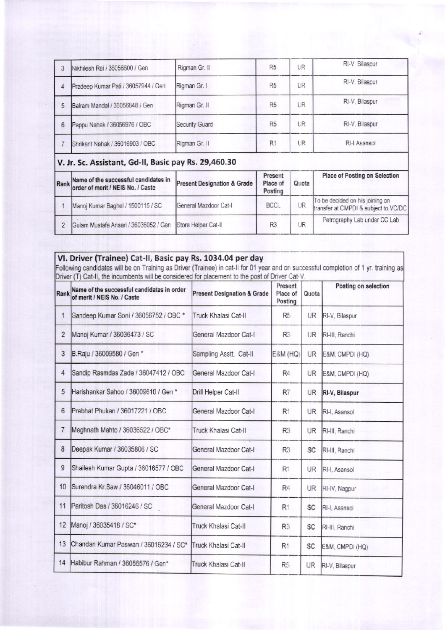| 3 | Nikhilesh Rai / 36056600 / Gen      | Rigman Gr. II  | R <sub>5</sub> | UR | RI-V, Bilaspur |
|---|-------------------------------------|----------------|----------------|----|----------------|
|   | Pradeep Kumar Pati / 36057944 / Gen | Rigman Gr. I   | R <sub>5</sub> | UR | RI-V, Bilaspur |
|   | Balram Mandal / 36056848 / Gen      | Rigman Gr. II  | R <sub>5</sub> | UR | RI-V, Bilaspur |
| 6 | Pappu Nahak / 36056976 / OBC        | Security Guard | R <sub>5</sub> | UR | RI-V, Bilaspur |
|   | Shrikant Nahak / 36016903 / OBC     | Rigman Gr. II  | R1             | UR | RI-I Asansol   |

| Rank Name of the successful candidates in<br>order of merit / NEIS No. / Caste | <b>Present Designation &amp; Grade</b> | Present<br>Place of<br>Posting | Quota     | Place of Posting on Selection                                           |
|--------------------------------------------------------------------------------|----------------------------------------|--------------------------------|-----------|-------------------------------------------------------------------------|
| Manoj Kumar Baghel / 1500115 / SC                                              | General Mazdoor Cat-I                  | BCCL                           | UR        | To be decided on his joining on<br>transfer at CMPDI & subject to VC/DC |
| Gulam Mustafa Ansari / 36036052 / Gen Store Helper Cat-II                      |                                        | R <sub>3</sub>                 | <b>JR</b> | Petrography Lab under CC Lab                                            |

VI. Driver (Trainee) Cat-II, Basic pay Rs. 1034.04 per day<br>Following candidates will be on Training as Driver (Trainee) in cat-II for 01 year and on successful completion of 1 yr. training as<br>Driver (T) Cat-II, the incumbe

| Rank           | Name of the successful candidates in order<br>of merit / NEIS No. / Caste | <b>Present Designation &amp; Grade</b> | Present<br>Place of<br>Posting | Quota     | Posting on selection |
|----------------|---------------------------------------------------------------------------|----------------------------------------|--------------------------------|-----------|----------------------|
| 1              | Sandeep Kumar Soni / 36056752 / OBC *                                     | Truck Khalasi Cat-II                   | R <sub>5</sub>                 | UR.       | RI-V, Bilaspur       |
| $\overline{2}$ | Manoj Kumar / 36036473 / SC                                               | General Mazdoor Cat-I                  | R <sub>3</sub>                 | UR.       | RI-III, Ranchi       |
| 3              | B.Raju / 36009580 / Gen *                                                 | Sampling Asstt. Cat-II                 | <b>E&amp;M (HQ)</b>            | UR.       | E&M, CMPDI (HQ)      |
| 4              | Sandip Rasmdas Zade / 36047412 / OBC                                      | General Mazdoor Cat-I                  | R4.                            | <b>UR</b> | E&M, CMPDI (HQ)      |
| 5              | Harishankar Sahoo / 36009610 / Gen*                                       | Drill Helper Cat-II                    | R7                             | UR        | RI-V, Bilaspur       |
| 6              | Prabhat Phukan / 36017221 / OBC                                           | General Mazdoor Cat-I                  | R <sub>1</sub>                 | UR.       | RI-I, Asansol        |
| 7              | Meghnath Mahto / 36036522 / OBC*                                          | Truck Khalasi Cat-II                   | R3                             | UR        | RI-III, Ranchi       |
| 8              | Deepak Kumar / 36035806 / SC                                              | General Mazdoor Cat-I                  | R <sub>3</sub>                 | SC        | RI-III, Ranchi       |
| 9              | Shailesh Kumar Gupta / 36016577 / OBC                                     | General Mazdoor Cat-I                  | R <sub>1</sub>                 | UR        | RI-I, Asansol        |
| 10             | Surendra Kr. Saw / 36046011 / OBC                                         | General Mazdoor Cat-I                  | R4                             | UR        | RI-IV, Nagpur        |
| 11             | Paritosh Das / 36016246 / SC                                              | General Mazdoor Cat-I                  | R <sub>1</sub>                 | <b>SC</b> | RI-I, Asansol        |
| 12             | Manoj / 36035418 / SC*                                                    | Truck Khalasi Cat-II                   | R <sub>3</sub>                 | <b>SC</b> | RI-III, Ranchi       |
| 13             | Chandan Kumar Paswan / 36016234 / SC*                                     | Truck Khalasi Cat-II                   | R <sub>1</sub>                 | SC        | E&M, CMPDI (HQ)      |
| 14             | Habibur Rahman / 36056576 / Gen*                                          | Truck Khalasi Cat-II                   | R5                             | <b>UR</b> | RI-V, Bilaspur       |